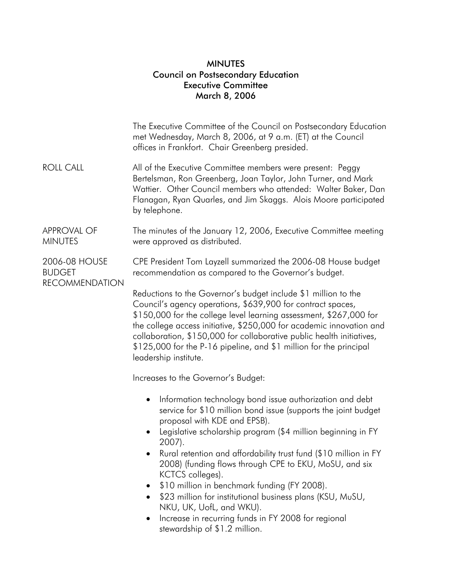## MINUTES Council on Postsecondary Education Executive Committee March 8, 2006

|                                                         | The Executive Committee of the Council on Postsecondary Education<br>met Wednesday, March 8, 2006, at 9 a.m. (ET) at the Council<br>offices in Frankfort. Chair Greenberg presided.                                                                                                                                                                                                                                                                                                                                                                                                                                                     |
|---------------------------------------------------------|-----------------------------------------------------------------------------------------------------------------------------------------------------------------------------------------------------------------------------------------------------------------------------------------------------------------------------------------------------------------------------------------------------------------------------------------------------------------------------------------------------------------------------------------------------------------------------------------------------------------------------------------|
| <b>ROLL CALL</b>                                        | All of the Executive Committee members were present: Peggy<br>Bertelsman, Ron Greenberg, Joan Taylor, John Turner, and Mark<br>Wattier. Other Council members who attended: Walter Baker, Dan<br>Flanagan, Ryan Quarles, and Jim Skaggs. Alois Moore participated<br>by telephone.                                                                                                                                                                                                                                                                                                                                                      |
| <b>APPROVAL OF</b><br><b>MINUTES</b>                    | The minutes of the January 12, 2006, Executive Committee meeting<br>were approved as distributed.                                                                                                                                                                                                                                                                                                                                                                                                                                                                                                                                       |
| 2006-08 HOUSE<br><b>BUDGET</b><br><b>RECOMMENDATION</b> | CPE President Tom Layzell summarized the 2006-08 House budget<br>recommendation as compared to the Governor's budget.                                                                                                                                                                                                                                                                                                                                                                                                                                                                                                                   |
|                                                         | Reductions to the Governor's budget include \$1 million to the<br>Council's agency operations, \$639,900 for contract spaces,<br>\$150,000 for the college level learning assessment, \$267,000 for<br>the college access initiative, \$250,000 for academic innovation and<br>collaboration, \$150,000 for collaborative public health initiatives,<br>\$125,000 for the P-16 pipeline, and \$1 million for the principal<br>leadership institute.                                                                                                                                                                                     |
|                                                         | Increases to the Governor's Budget:                                                                                                                                                                                                                                                                                                                                                                                                                                                                                                                                                                                                     |
|                                                         | Information technology bond issue authorization and debt<br>service for \$10 million bond issue (supports the joint budget<br>proposal with KDE and EPSB).<br>Legislative scholarship program (\$4 million beginning in FY<br>$2007$ ).<br>Rural retention and affordability trust fund (\$10 million in FY<br>2008) (funding flows through CPE to EKU, MoSU, and six<br>KCTCS colleges).<br>\$10 million in benchmark funding (FY 2008).<br>\$23 million for institutional business plans (KSU, MuSU,<br>NKU, UK, UofL, and WKU).<br>Increase in recurring funds in FY 2008 for regional<br>$\bullet$<br>stewardship of \$1.2 million. |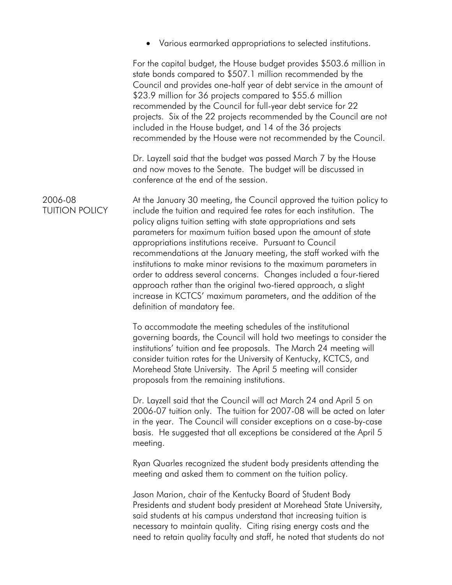|                                  | Various earmarked appropriations to selected institutions.                                                                                                                                                                                                                                                                                                                                                                                                                                                                                                                                                                                                                                                                         |
|----------------------------------|------------------------------------------------------------------------------------------------------------------------------------------------------------------------------------------------------------------------------------------------------------------------------------------------------------------------------------------------------------------------------------------------------------------------------------------------------------------------------------------------------------------------------------------------------------------------------------------------------------------------------------------------------------------------------------------------------------------------------------|
|                                  | For the capital budget, the House budget provides \$503.6 million in<br>state bonds compared to \$507.1 million recommended by the<br>Council and provides one-half year of debt service in the amount of<br>\$23.9 million for 36 projects compared to \$55.6 million<br>recommended by the Council for full-year debt service for 22<br>projects. Six of the 22 projects recommended by the Council are not<br>included in the House budget, and 14 of the 36 projects<br>recommended by the House were not recommended by the Council.                                                                                                                                                                                          |
|                                  | Dr. Layzell said that the budget was passed March 7 by the House<br>and now moves to the Senate. The budget will be discussed in<br>conference at the end of the session.                                                                                                                                                                                                                                                                                                                                                                                                                                                                                                                                                          |
| 2006-08<br><b>TUITION POLICY</b> | At the January 30 meeting, the Council approved the tuition policy to<br>include the tuition and required fee rates for each institution. The<br>policy aligns tuition setting with state appropriations and sets<br>parameters for maximum tuition based upon the amount of state<br>appropriations institutions receive. Pursuant to Council<br>recommendations at the January meeting, the staff worked with the<br>institutions to make minor revisions to the maximum parameters in<br>order to address several concerns. Changes included a four-tiered<br>approach rather than the original two-tiered approach, a slight<br>increase in KCTCS' maximum parameters, and the addition of the<br>definition of mandatory fee. |
|                                  | To accommodate the meeting schedules of the institutional<br>governing boards, the Council will hold two meetings to consider the<br>institutions' tuition and fee proposals. The March 24 meeting will<br>consider tuition rates for the University of Kentucky, KCTCS, and<br>Morehead State University. The April 5 meeting will consider<br>proposals from the remaining institutions.                                                                                                                                                                                                                                                                                                                                         |
|                                  | Dr. Layzell said that the Council will act March 24 and April 5 on<br>2006-07 tuition only. The tuition for 2007-08 will be acted on later<br>in the year. The Council will consider exceptions on a case-by-case<br>basis. He suggested that all exceptions be considered at the April 5<br>meeting.                                                                                                                                                                                                                                                                                                                                                                                                                              |
|                                  | Ryan Quarles recognized the student body presidents attending the<br>meeting and asked them to comment on the tuition policy.                                                                                                                                                                                                                                                                                                                                                                                                                                                                                                                                                                                                      |
|                                  | Jason Marion, chair of the Kentucky Board of Student Body<br>Presidents and student body president at Morehead State University,<br>said students at his campus understand that increasing tuition is<br>necessary to maintain quality. Citing rising energy costs and the<br>need to retain quality faculty and staff, he noted that students do not                                                                                                                                                                                                                                                                                                                                                                              |
|                                  |                                                                                                                                                                                                                                                                                                                                                                                                                                                                                                                                                                                                                                                                                                                                    |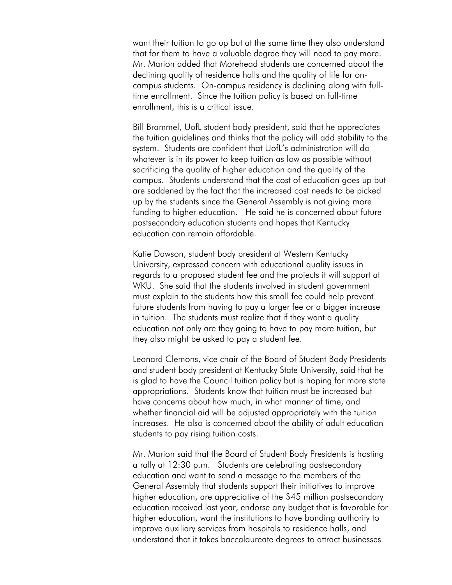want their tuition to go up but at the same time they also understand that for them to have a valuable degree they will need to pay more. Mr. Marion added that Morehead students are concerned about the declining quality of residence halls and the quality of life for oncampus students. On-campus residency is declining along with fulltime enrollment. Since the tuition policy is based on full-time enrollment, this is a critical issue.

Bill Brammel, UofL student body president, said that he appreciates the tuition guidelines and thinks that the policy will add stability to the system. Students are confident that UofL's administration will do whatever is in its power to keep tuition as low as possible without sacrificing the quality of higher education and the quality of the campus. Students understand that the cost of education goes up but are saddened by the fact that the increased cost needs to be picked up by the students since the General Assembly is not giving more funding to higher education. He said he is concerned about future postsecondary education students and hopes that Kentucky education can remain affordable.

Katie Dawson, student body president at Western Kentucky University, expressed concern with educational quality issues in regards to a proposed student fee and the projects it will support at WKU. She said that the students involved in student government must explain to the students how this small fee could help prevent future students from having to pay a larger fee or a bigger increase in tuition. The students must realize that if they want a quality education not only are they going to have to pay more tuition, but they also might be asked to pay a student fee.

Leonard Clemons, vice chair of the Board of Student Body Presidents and student body president at Kentucky State University, said that he is glad to have the Council tuition policy but is hoping for more state appropriations. Students know that tuition must be increased but have concerns about how much, in what manner of time, and whether financial aid will be adjusted appropriately with the tuition increases. He also is concerned about the ability of adult education students to pay rising tuition costs.

Mr. Marion said that the Board of Student Body Presidents is hosting a rally at 12:30 p.m. Students are celebrating postsecondary education and want to send a message to the members of the General Assembly that students support their initiatives to improve higher education, are appreciative of the \$45 million postsecondary education received last year, endorse any budget that is favorable for higher education, want the institutions to have bonding authority to improve auxiliary services from hospitals to residence halls, and understand that it takes baccalaureate degrees to attract businesses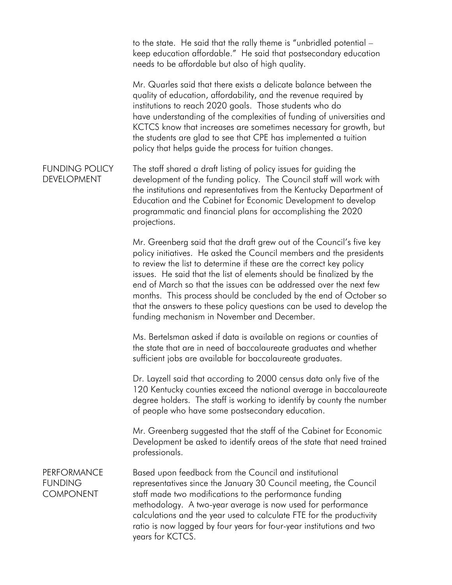to the state. He said that the rally theme is "unbridled potential – keep education affordable." He said that postsecondary education needs to be affordable but also of high quality.

Mr. Quarles said that there exists a delicate balance between the quality of education, affordability, and the revenue required by institutions to reach 2020 goals. Those students who do have understanding of the complexities of funding of universities and KCTCS know that increases are sometimes necessary for growth, but the students are glad to see that CPE has implemented a tuition policy that helps guide the process for tuition changes.

FUNDING POLICY DEVELOPMENT The staff shared a draft listing of policy issues for guiding the development of the funding policy. The Council staff will work with the institutions and representatives from the Kentucky Department of Education and the Cabinet for Economic Development to develop programmatic and financial plans for accomplishing the 2020 projections.

> Mr. Greenberg said that the draft grew out of the Council's five key policy initiatives. He asked the Council members and the presidents to review the list to determine if these are the correct key policy issues. He said that the list of elements should be finalized by the end of March so that the issues can be addressed over the next few months. This process should be concluded by the end of October so that the answers to these policy questions can be used to develop the funding mechanism in November and December.

Ms. Bertelsman asked if data is available on regions or counties of the state that are in need of baccalaureate graduates and whether sufficient jobs are available for baccalaureate graduates.

Dr. Layzell said that according to 2000 census data only five of the 120 Kentucky counties exceed the national average in baccalaureate degree holders. The staff is working to identify by county the number of people who have some postsecondary education.

Mr. Greenberg suggested that the staff of the Cabinet for Economic Development be asked to identify areas of the state that need trained professionals.

**PERFORMANCE** FUNDING COMPONENT Based upon feedback from the Council and institutional representatives since the January 30 Council meeting, the Council staff made two modifications to the performance funding methodology. A two-year average is now used for performance calculations and the year used to calculate FTE for the productivity ratio is now lagged by four years for four-year institutions and two years for KCTCS.